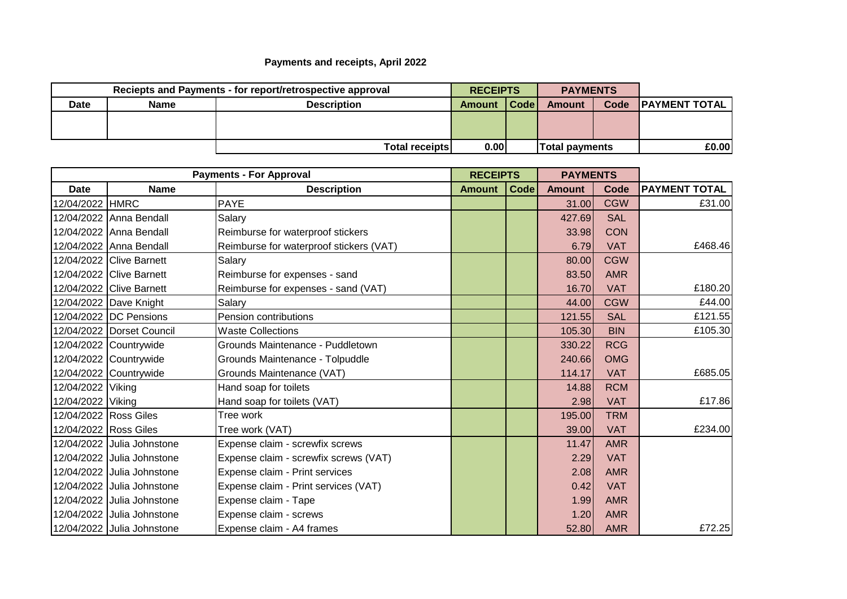## **Payments and receipts, April 2022**

| Reciepts and Payments - for report/retrospective approval |             |                       | <b>RECEIPTS</b> |      | <b>PAYMENTS</b>       |      |                      |
|-----------------------------------------------------------|-------------|-----------------------|-----------------|------|-----------------------|------|----------------------|
| <b>Date</b>                                               | <b>Name</b> | <b>Description</b>    | Amount          | Code | Amount                | Code | <b>PAYMENT TOTAL</b> |
|                                                           |             |                       |                 |      |                       |      |                      |
|                                                           |             |                       |                 |      |                       |      |                      |
|                                                           |             | <b>Total receipts</b> | 0.00            |      | <b>Total payments</b> |      | £0.00                |

| <b>Payments - For Approval</b> |                            | <b>RECEIPTS</b>                         |               | <b>PAYMENTS</b> |               |            |                      |
|--------------------------------|----------------------------|-----------------------------------------|---------------|-----------------|---------------|------------|----------------------|
| <b>Date</b>                    | <b>Name</b>                | <b>Description</b>                      | <b>Amount</b> | Code            | <b>Amount</b> | Code       | <b>PAYMENT TOTAL</b> |
| 12/04/2022 HMRC                |                            | <b>PAYE</b>                             |               |                 | 31.00         | <b>CGW</b> | £31.00               |
|                                | 12/04/2022 Anna Bendall    | Salary                                  |               |                 | 427.69        | <b>SAL</b> |                      |
|                                | 12/04/2022 Anna Bendall    | Reimburse for waterproof stickers       |               |                 | 33.98         | <b>CON</b> |                      |
|                                | 12/04/2022 Anna Bendall    | Reimburse for waterproof stickers (VAT) |               |                 | 6.79          | <b>VAT</b> | £468.46              |
|                                | 12/04/2022 Clive Barnett   | Salary                                  |               |                 | 80.00         | <b>CGW</b> |                      |
|                                | 12/04/2022 Clive Barnett   | Reimburse for expenses - sand           |               |                 | 83.50         | <b>AMR</b> |                      |
|                                | 12/04/2022 Clive Barnett   | Reimburse for expenses - sand (VAT)     |               |                 | 16.70         | <b>VAT</b> | £180.20              |
|                                | 12/04/2022 Dave Knight     | Salary                                  |               |                 | 44.00         | <b>CGW</b> | £44.00               |
|                                | 12/04/2022 DC Pensions     | Pension contributions                   |               |                 | 121.55        | <b>SAL</b> | £121.55              |
|                                | 12/04/2022 Dorset Council  | <b>Waste Collections</b>                |               |                 | 105.30        | <b>BIN</b> | £105.30              |
|                                | 12/04/2022 Countrywide     | Grounds Maintenance - Puddletown        |               |                 | 330.22        | <b>RCG</b> |                      |
|                                | 12/04/2022 Countrywide     | Grounds Maintenance - Tolpuddle         |               |                 | 240.66        | <b>OMG</b> |                      |
|                                | 12/04/2022 Countrywide     | Grounds Maintenance (VAT)               |               |                 | 114.17        | <b>VAT</b> | £685.05              |
| 12/04/2022 Viking              |                            | Hand soap for toilets                   |               |                 | 14.88         | <b>RCM</b> |                      |
| 12/04/2022 Viking              |                            | Hand soap for toilets (VAT)             |               |                 | 2.98          | <b>VAT</b> | £17.86               |
| 12/04/2022 Ross Giles          |                            | Tree work                               |               |                 | 195.00        | <b>TRM</b> |                      |
| 12/04/2022 Ross Giles          |                            | Tree work (VAT)                         |               |                 | 39.00         | <b>VAT</b> | £234.00              |
|                                | 12/04/2022 Julia Johnstone | Expense claim - screwfix screws         |               |                 | 11.47         | <b>AMR</b> |                      |
|                                | 12/04/2022 Julia Johnstone | Expense claim - screwfix screws (VAT)   |               |                 | 2.29          | <b>VAT</b> |                      |
|                                | 12/04/2022 Julia Johnstone | Expense claim - Print services          |               |                 | 2.08          | <b>AMR</b> |                      |
|                                | 12/04/2022 Julia Johnstone | Expense claim - Print services (VAT)    |               |                 | 0.42          | <b>VAT</b> |                      |
|                                | 12/04/2022 Julia Johnstone | Expense claim - Tape                    |               |                 | 1.99          | <b>AMR</b> |                      |
|                                | 12/04/2022 Julia Johnstone | Expense claim - screws                  |               |                 | 1.20          | <b>AMR</b> |                      |
|                                | 12/04/2022 Julia Johnstone | Expense claim - A4 frames               |               |                 | 52.80         | <b>AMR</b> | £72.25               |